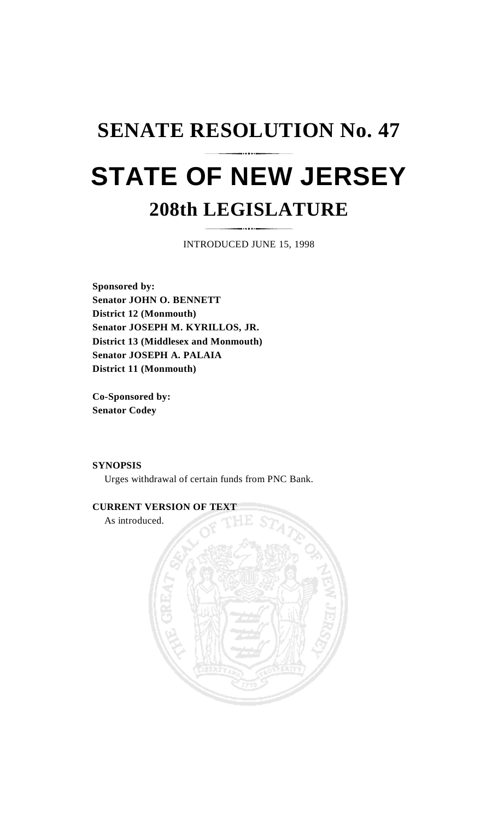# **SENATE RESOLUTION No. 47 STATE OF NEW JERSEY 208th LEGISLATURE**

INTRODUCED JUNE 15, 1998

**Sponsored by: Senator JOHN O. BENNETT District 12 (Monmouth) Senator JOSEPH M. KYRILLOS, JR. District 13 (Middlesex and Monmouth) Senator JOSEPH A. PALAIA District 11 (Monmouth)**

**Co-Sponsored by: Senator Codey**

## **SYNOPSIS**

Urges withdrawal of certain funds from PNC Bank.

## **CURRENT VERSION OF TEXT**

As introduced.

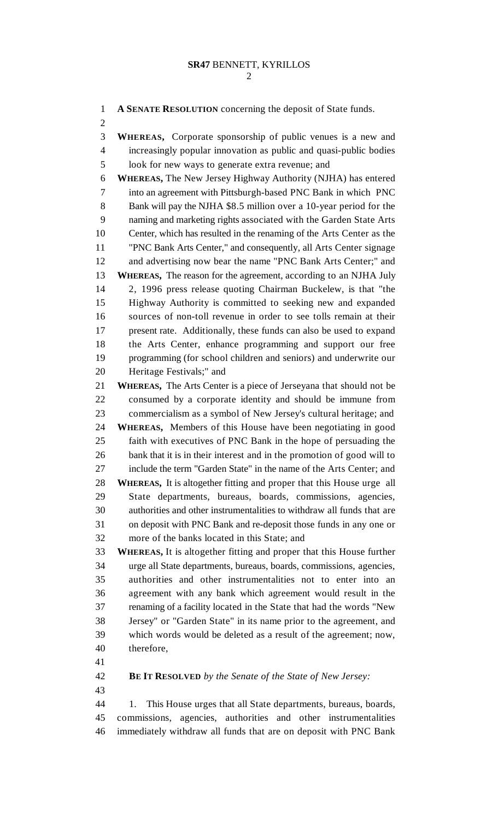**A SENATE RESOLUTION** concerning the deposit of State funds.

 **WHEREAS,** Corporate sponsorship of public venues is a new and increasingly popular innovation as public and quasi-public bodies look for new ways to generate extra revenue; and **WHEREAS,** The New Jersey Highway Authority (NJHA) has entered into an agreement with Pittsburgh-based PNC Bank in which PNC Bank will pay the NJHA \$8.5 million over a 10-year period for the naming and marketing rights associated with the Garden State Arts Center, which has resulted in the renaming of the Arts Center as the "PNC Bank Arts Center," and consequently, all Arts Center signage and advertising now bear the name "PNC Bank Arts Center;" and **WHEREAS,** The reason for the agreement, according to an NJHA July 2, 1996 press release quoting Chairman Buckelew, is that "the Highway Authority is committed to seeking new and expanded sources of non-toll revenue in order to see tolls remain at their present rate. Additionally, these funds can also be used to expand the Arts Center, enhance programming and support our free programming (for school children and seniors) and underwrite our Heritage Festivals;" and **WHEREAS,** The Arts Center is a piece of Jerseyana that should not be consumed by a corporate identity and should be immune from commercialism as a symbol of New Jersey's cultural heritage; and **WHEREAS,** Members of this House have been negotiating in good faith with executives of PNC Bank in the hope of persuading the bank that it is in their interest and in the promotion of good will to include the term "Garden State" in the name of the Arts Center; and **WHEREAS,** It is altogether fitting and proper that this House urge all State departments, bureaus, boards, commissions, agencies, authorities and other instrumentalities to withdraw all funds that are on deposit with PNC Bank and re-deposit those funds in any one or more of the banks located in this State; and **WHEREAS,** It is altogether fitting and proper that this House further urge all State departments, bureaus, boards, commissions, agencies, authorities and other instrumentalities not to enter into an agreement with any bank which agreement would result in the renaming of a facility located in the State that had the words "New Jersey" or "Garden State" in its name prior to the agreement, and which words would be deleted as a result of the agreement; now, therefore, **BE IT RESOLVED** *by the Senate of the State of New Jersey:* 1. This House urges that all State departments, bureaus, boards, commissions, agencies, authorities and other instrumentalities immediately withdraw all funds that are on deposit with PNC Bank